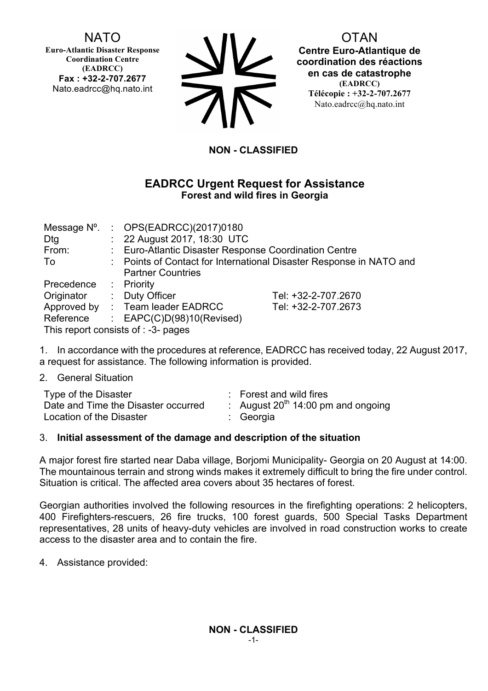# **NATO**

**Euro-Atlantic Disaster Response Coordination Centre (EADRCC) Fax : +32-2-707.2677** Nato.eadrcc@hq.nato.int

| <b>NV</b>  |
|------------|
| <b>71V</b> |

**OTAN** 

**Centre Euro-Atlantique de coordination des réactions en cas de catastrophe (EADRCC) Télécopie : +32-2-707.2677** Nato.eadrcc@hq.nato.int

## **NON - CLASSIFIED**

## **EADRCC Urgent Request for Assistance Forest and wild fires in Georgia**

|                                     |                                                                     | Message N°. : OPS(EADRCC)(2017)0180                   |                     |  |  |
|-------------------------------------|---------------------------------------------------------------------|-------------------------------------------------------|---------------------|--|--|
| Dtg                                 |                                                                     | : 22 August 2017, 18:30 UTC                           |                     |  |  |
| From:                               |                                                                     | : Euro-Atlantic Disaster Response Coordination Centre |                     |  |  |
| To                                  | : Points of Contact for International Disaster Response in NATO and |                                                       |                     |  |  |
|                                     |                                                                     | <b>Partner Countries</b>                              |                     |  |  |
| Precedence : Priority               |                                                                     |                                                       |                     |  |  |
| Originator                          |                                                                     | : Duty Officer                                        | Tel: +32-2-707.2670 |  |  |
|                                     |                                                                     | Approved by : Team leader EADRCC                      | Tel: +32-2-707.2673 |  |  |
| Reference                           |                                                                     | : $EAPC(C)D(98)10(Revised)$                           |                     |  |  |
| This report consists of : -3- pages |                                                                     |                                                       |                     |  |  |

1. In accordance with the procedures at reference, EADRCC has received today, 22 August 2017, a request for assistance. The following information is provided.

2. General Situation

| Type of the Disaster                | : Forest and wild fires                 |
|-------------------------------------|-----------------------------------------|
| Date and Time the Disaster occurred | : August $20^{th}$ 14:00 pm and ongoing |
| Location of the Disaster            | : Georgia                               |

#### 3. **Initial assessment of the damage and description of the situation**

A major forest fire started near Daba village, Borjomi Municipality- Georgia on 20 August at 14:00. The mountainous terrain and strong winds makes it extremely difficult to bring the fire under control. Situation is critical. The affected area covers about 35 hectares of forest.

Georgian authorities involved the following resources in the firefighting operations: 2 helicopters, 400 Firefighters-rescuers, 26 fire trucks, 100 forest guards, 500 Special Tasks Department representatives, 28 units of heavy-duty vehicles are involved in road construction works to create access to the disaster area and to contain the fire.

4. Assistance provided: